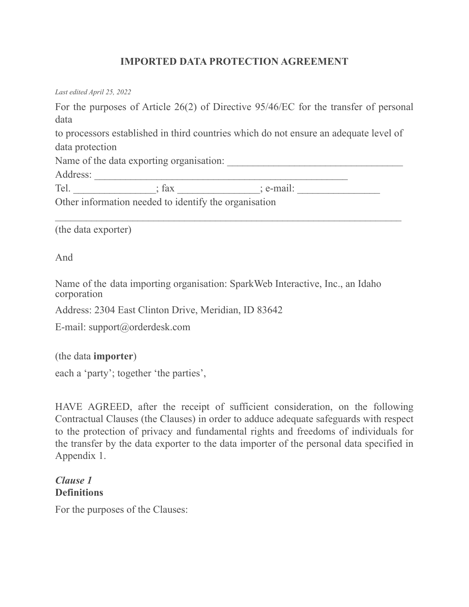### **IMPORTED DATA PROTECTION AGREEMENT**

*Last edited April 25, 2022*

For the purposes of Article 26(2) of Directive 95/46/EC for the transfer of personal data to processors established in third countries which do not ensure an adequate level of data protection Name of the data exporting organisation: \_\_\_\_\_\_\_\_\_\_\_\_\_\_\_\_\_\_\_\_\_\_\_\_\_\_\_\_\_\_\_\_\_\_ Address: \_\_\_\_\_\_\_\_\_\_\_\_\_\_\_\_\_\_\_\_\_\_\_\_\_\_\_\_\_\_\_\_\_\_\_\_\_\_\_\_\_\_\_\_\_\_\_\_\_ Tel.  $\qquad \qquad$   $\qquad$   $\qquad$   $\qquad$   $\qquad$   $\qquad$   $\qquad$   $\qquad$   $\qquad$   $\qquad$   $\qquad$   $\qquad$   $\qquad$   $\qquad$   $\qquad$   $\qquad$   $\qquad$   $\qquad$   $\qquad$   $\qquad$   $\qquad$   $\qquad$   $\qquad$   $\qquad$   $\qquad$   $\qquad$   $\qquad$   $\qquad$   $\qquad$   $\qquad$   $\qquad$   $\qquad$   $\qquad$   $\qquad$   $\qquad$   $\q$ Other information needed to identify the organisation  $\mathcal{L}_\text{max} = \frac{1}{2} \sum_{i=1}^n \mathcal{L}_\text{max}(\mathbf{z}_i - \mathbf{z}_i)$ (the data exporter)

And

Name of the data importing organisation: SparkWeb Interactive, Inc., an Idaho corporation

Address: 2304 East Clinton Drive, Meridian, ID 83642

E-mail: support@orderdesk.com

(the data **importer**)

each a 'party'; together 'the parties',

HAVE AGREED, after the receipt of sufficient consideration, on the following Contractual Clauses (the Clauses) in order to adduce adequate safeguards with respect to the protection of privacy and fundamental rights and freedoms of individuals for the transfer by the data exporter to the data importer of the personal data specified in Appendix 1.

#### *Clause 1* **Definitions**

For the purposes of the Clauses: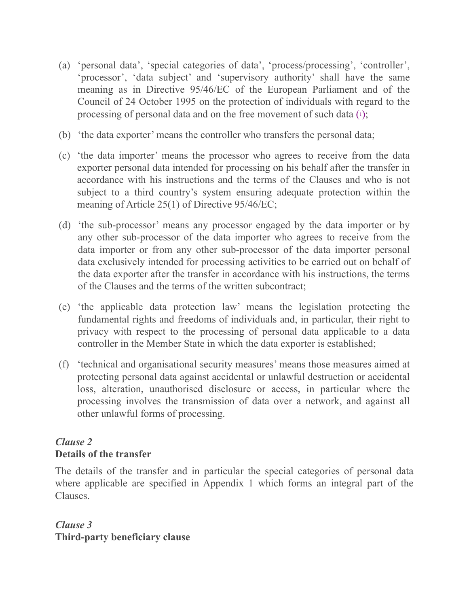- (a) 'personal data', 'special categories of data', 'process/processing', 'controller', 'processor', 'data subject' and 'supervisory authority' shall have the same meaning as in Directive 95/46/EC of the European Parliament and of the Council of 24 October 1995 on the protection of individuals with regard to the processing of personal data and on the free movement of such data [\(1\)](http://eur-lex.europa.eu/legal-content/en/TXT/?uri=CELEX:32010D0087#ntr1-L_2010039EN.01001001-E0001);
- (b) 'the data exporter' means the controller who transfers the personal data;
- (c) 'the data importer' means the processor who agrees to receive from the data exporter personal data intended for processing on his behalf after the transfer in accordance with his instructions and the terms of the Clauses and who is not subject to a third country's system ensuring adequate protection within the meaning of Article 25(1) of Directive 95/46/EC;
- (d) 'the sub-processor' means any processor engaged by the data importer or by any other sub-processor of the data importer who agrees to receive from the data importer or from any other sub-processor of the data importer personal data exclusively intended for processing activities to be carried out on behalf of the data exporter after the transfer in accordance with his instructions, the terms of the Clauses and the terms of the written subcontract;
- (e) 'the applicable data protection law' means the legislation protecting the fundamental rights and freedoms of individuals and, in particular, their right to privacy with respect to the processing of personal data applicable to a data controller in the Member State in which the data exporter is established;
- (f) 'technical and organisational security measures' means those measures aimed at protecting personal data against accidental or unlawful destruction or accidental loss, alteration, unauthorised disclosure or access, in particular where the processing involves the transmission of data over a network, and against all other unlawful forms of processing.

# *Clause 2* **Details of the transfer**

The details of the transfer and in particular the special categories of personal data where applicable are specified in Appendix 1 which forms an integral part of the Clauses.

*Clause 3* **Third-party beneficiary clause**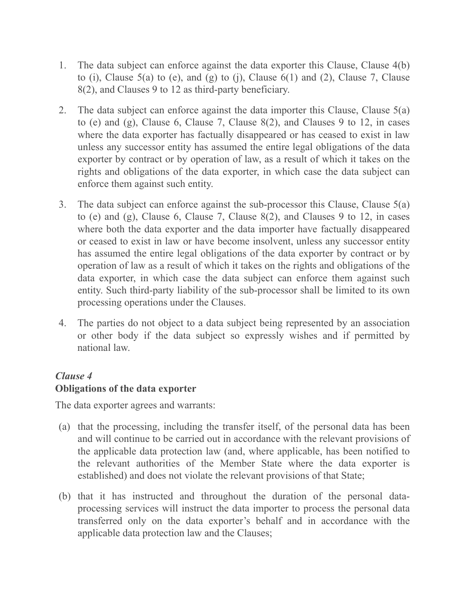- 1. The data subject can enforce against the data exporter this Clause, Clause 4(b) to (i), Clause  $5(a)$  to (e), and (g) to (j), Clause  $6(1)$  and (2), Clause 7, Clause 8(2), and Clauses 9 to 12 as third-party beneficiary.
- 2. The data subject can enforce against the data importer this Clause, Clause 5(a) to (e) and (g), Clause 6, Clause 7, Clause 8(2), and Clauses 9 to 12, in cases where the data exporter has factually disappeared or has ceased to exist in law unless any successor entity has assumed the entire legal obligations of the data exporter by contract or by operation of law, as a result of which it takes on the rights and obligations of the data exporter, in which case the data subject can enforce them against such entity.
- 3. The data subject can enforce against the sub-processor this Clause, Clause 5(a) to (e) and (g), Clause 6, Clause 7, Clause 8(2), and Clauses 9 to 12, in cases where both the data exporter and the data importer have factually disappeared or ceased to exist in law or have become insolvent, unless any successor entity has assumed the entire legal obligations of the data exporter by contract or by operation of law as a result of which it takes on the rights and obligations of the data exporter, in which case the data subject can enforce them against such entity. Such third-party liability of the sub-processor shall be limited to its own processing operations under the Clauses.
- 4. The parties do not object to a data subject being represented by an association or other body if the data subject so expressly wishes and if permitted by national law.

# *Clause 4* **Obligations of the data exporter**

The data exporter agrees and warrants:

- (a) that the processing, including the transfer itself, of the personal data has been and will continue to be carried out in accordance with the relevant provisions of the applicable data protection law (and, where applicable, has been notified to the relevant authorities of the Member State where the data exporter is established) and does not violate the relevant provisions of that State;
- (b) that it has instructed and throughout the duration of the personal dataprocessing services will instruct the data importer to process the personal data transferred only on the data exporter's behalf and in accordance with the applicable data protection law and the Clauses;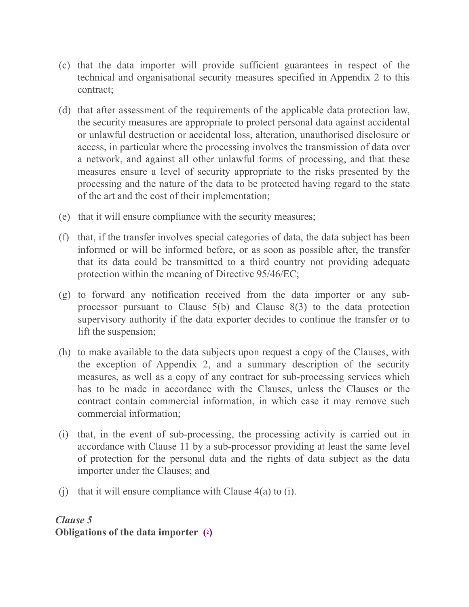- (c) that the data importer will provide sufficient guarantees in respect of the technical and organisational security measures specified in Appendix 2 to this contract;
- (d) that after assessment of the requirements of the applicable data protection law, the security measures are appropriate to protect personal data against accidental or unlawful destruction or accidental loss, alteration, unauthorised disclosure or access, in particular where the processing involves the transmission of data over a network, and against all other unlawful forms of processing, and that these measures ensure a level of security appropriate to the risks presented by the processing and the nature of the data to be protected having regard to the state of the art and the cost of their implementation;
- (e) that it will ensure compliance with the security measures;
- (f) that, if the transfer involves special categories of data, the data subject has been informed or will be informed before, or as soon as possible after, the transfer that its data could be transmitted to a third country not providing adequate protection within the meaning of Directive 95/46/EC;
- (g) to forward any notification received from the data importer or any subprocessor pursuant to Clause 5(b) and Clause 8(3) to the data protection supervisory authority if the data exporter decides to continue the transfer or to lift the suspension;
- (h) to make available to the data subjects upon request a copy of the Clauses, with the exception of Appendix 2, and a summary description of the security measures, as well as a copy of any contract for sub-processing services which has to be made in accordance with the Clauses, unless the Clauses or the contract contain commercial information, in which case it may remove such commercial information;
- (i) that, in the event of sub-processing, the processing activity is carried out in accordance with Clause 11 by a sub-processor providing at least the same level of protection for the personal data and the rights of data subject as the data importer under the Clauses; and
- (i) that it will ensure compliance with Clause  $4(a)$  to (i).

# *Clause 5* **Obligations of the data importer [\(2\)](http://eur-lex.europa.eu/legal-content/en/TXT/?uri=CELEX:32010D0087#ntr2-L_2010039EN.01001001-E0002)**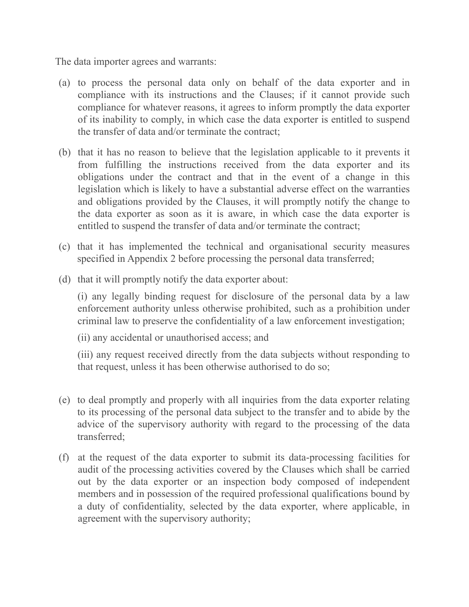The data importer agrees and warrants:

- (a) to process the personal data only on behalf of the data exporter and in compliance with its instructions and the Clauses; if it cannot provide such compliance for whatever reasons, it agrees to inform promptly the data exporter of its inability to comply, in which case the data exporter is entitled to suspend the transfer of data and/or terminate the contract;
- (b) that it has no reason to believe that the legislation applicable to it prevents it from fulfilling the instructions received from the data exporter and its obligations under the contract and that in the event of a change in this legislation which is likely to have a substantial adverse effect on the warranties and obligations provided by the Clauses, it will promptly notify the change to the data exporter as soon as it is aware, in which case the data exporter is entitled to suspend the transfer of data and/or terminate the contract;
- (c) that it has implemented the technical and organisational security measures specified in Appendix 2 before processing the personal data transferred;
- (d) that it will promptly notify the data exporter about:

(i) any legally binding request for disclosure of the personal data by a law enforcement authority unless otherwise prohibited, such as a prohibition under criminal law to preserve the confidentiality of a law enforcement investigation;

(ii) any accidental or unauthorised access; and

(iii) any request received directly from the data subjects without responding to that request, unless it has been otherwise authorised to do so;

- (e) to deal promptly and properly with all inquiries from the data exporter relating to its processing of the personal data subject to the transfer and to abide by the advice of the supervisory authority with regard to the processing of the data transferred;
- (f) at the request of the data exporter to submit its data-processing facilities for audit of the processing activities covered by the Clauses which shall be carried out by the data exporter or an inspection body composed of independent members and in possession of the required professional qualifications bound by a duty of confidentiality, selected by the data exporter, where applicable, in agreement with the supervisory authority;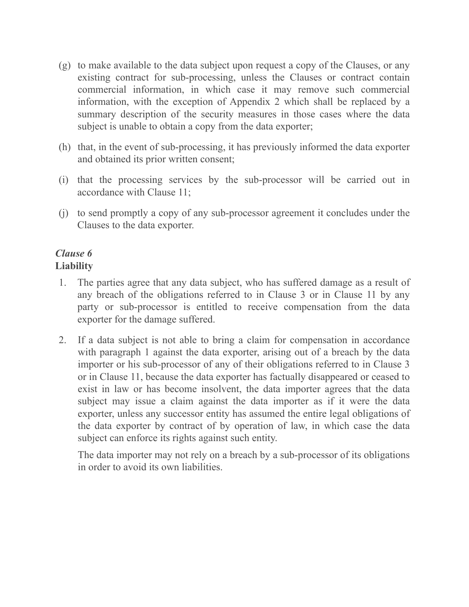- (g) to make available to the data subject upon request a copy of the Clauses, or any existing contract for sub-processing, unless the Clauses or contract contain commercial information, in which case it may remove such commercial information, with the exception of Appendix 2 which shall be replaced by a summary description of the security measures in those cases where the data subject is unable to obtain a copy from the data exporter;
- (h) that, in the event of sub-processing, it has previously informed the data exporter and obtained its prior written consent;
- (i) that the processing services by the sub-processor will be carried out in accordance with Clause 11;
- (j) to send promptly a copy of any sub-processor agreement it concludes under the Clauses to the data exporter.

#### *Clause 6* **Liability**

- 1. The parties agree that any data subject, who has suffered damage as a result of any breach of the obligations referred to in Clause 3 or in Clause 11 by any party or sub-processor is entitled to receive compensation from the data exporter for the damage suffered.
- 2. If a data subject is not able to bring a claim for compensation in accordance with paragraph 1 against the data exporter, arising out of a breach by the data importer or his sub-processor of any of their obligations referred to in Clause 3 or in Clause 11, because the data exporter has factually disappeared or ceased to exist in law or has become insolvent, the data importer agrees that the data subject may issue a claim against the data importer as if it were the data exporter, unless any successor entity has assumed the entire legal obligations of the data exporter by contract of by operation of law, in which case the data subject can enforce its rights against such entity.

The data importer may not rely on a breach by a sub-processor of its obligations in order to avoid its own liabilities.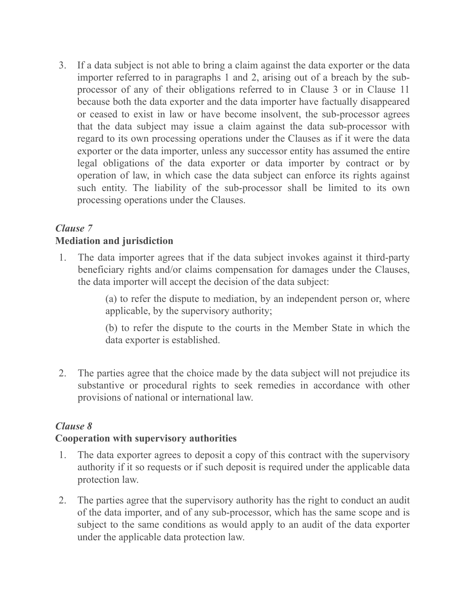3. If a data subject is not able to bring a claim against the data exporter or the data importer referred to in paragraphs 1 and 2, arising out of a breach by the subprocessor of any of their obligations referred to in Clause 3 or in Clause 11 because both the data exporter and the data importer have factually disappeared or ceased to exist in law or have become insolvent, the sub-processor agrees that the data subject may issue a claim against the data sub-processor with regard to its own processing operations under the Clauses as if it were the data exporter or the data importer, unless any successor entity has assumed the entire legal obligations of the data exporter or data importer by contract or by operation of law, in which case the data subject can enforce its rights against such entity. The liability of the sub-processor shall be limited to its own processing operations under the Clauses.

# *Clause 7* **Mediation and jurisdiction**

1. The data importer agrees that if the data subject invokes against it third-party beneficiary rights and/or claims compensation for damages under the Clauses, the data importer will accept the decision of the data subject:

> (a) to refer the dispute to mediation, by an independent person or, where applicable, by the supervisory authority;

> (b) to refer the dispute to the courts in the Member State in which the data exporter is established.

2. The parties agree that the choice made by the data subject will not prejudice its substantive or procedural rights to seek remedies in accordance with other provisions of national or international law.

# *Clause 8*

### **Cooperation with supervisory authorities**

- 1. The data exporter agrees to deposit a copy of this contract with the supervisory authority if it so requests or if such deposit is required under the applicable data protection law.
- 2. The parties agree that the supervisory authority has the right to conduct an audit of the data importer, and of any sub-processor, which has the same scope and is subject to the same conditions as would apply to an audit of the data exporter under the applicable data protection law.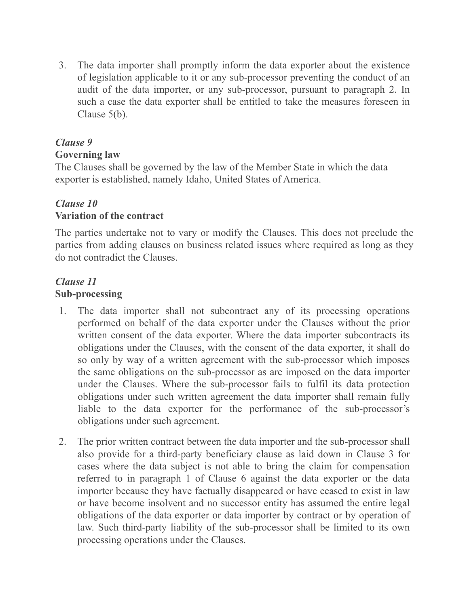3. The data importer shall promptly inform the data exporter about the existence of legislation applicable to it or any sub-processor preventing the conduct of an audit of the data importer, or any sub-processor, pursuant to paragraph 2. In such a case the data exporter shall be entitled to take the measures foreseen in Clause 5(b).

# *Clause 9*

### **Governing law**

The Clauses shall be governed by the law of the Member State in which the data exporter is established, namely Idaho, United States of America.

### *Clause 10* **Variation of the contract**

The parties undertake not to vary or modify the Clauses. This does not preclude the parties from adding clauses on business related issues where required as long as they do not contradict the Clauses.

### *Clause 11* **Sub-processing**

- 1. The data importer shall not subcontract any of its processing operations performed on behalf of the data exporter under the Clauses without the prior written consent of the data exporter. Where the data importer subcontracts its obligations under the Clauses, with the consent of the data exporter, it shall do so only by way of a written agreement with the sub-processor which imposes the same obligations on the sub-processor as are imposed on the data importer under the Clauses. Where the sub-processor fails to fulfil its data protection obligations under such written agreement the data importer shall remain fully liable to the data exporter for the performance of the sub-processor's obligations under such agreement.
- 2. The prior written contract between the data importer and the sub-processor shall also provide for a third-party beneficiary clause as laid down in Clause 3 for cases where the data subject is not able to bring the claim for compensation referred to in paragraph 1 of Clause 6 against the data exporter or the data importer because they have factually disappeared or have ceased to exist in law or have become insolvent and no successor entity has assumed the entire legal obligations of the data exporter or data importer by contract or by operation of law. Such third-party liability of the sub-processor shall be limited to its own processing operations under the Clauses.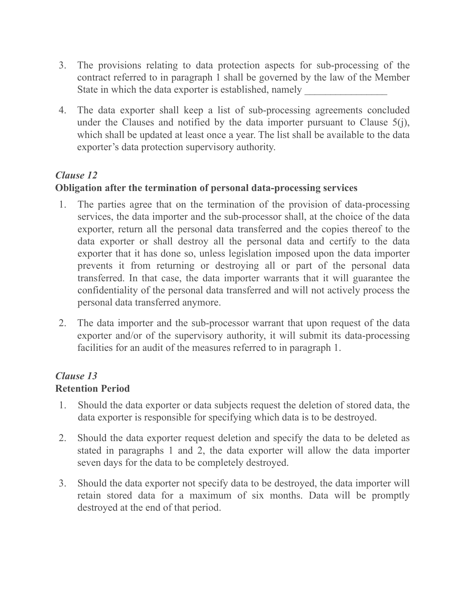- 3. The provisions relating to data protection aspects for sub-processing of the contract referred to in paragraph 1 shall be governed by the law of the Member State in which the data exporter is established, namely
- 4. The data exporter shall keep a list of sub-processing agreements concluded under the Clauses and notified by the data importer pursuant to Clause 5(j), which shall be updated at least once a year. The list shall be available to the data exporter's data protection supervisory authority.

# *Clause 12*

# **Obligation after the termination of personal data-processing services**

- 1. The parties agree that on the termination of the provision of data-processing services, the data importer and the sub-processor shall, at the choice of the data exporter, return all the personal data transferred and the copies thereof to the data exporter or shall destroy all the personal data and certify to the data exporter that it has done so, unless legislation imposed upon the data importer prevents it from returning or destroying all or part of the personal data transferred. In that case, the data importer warrants that it will guarantee the confidentiality of the personal data transferred and will not actively process the personal data transferred anymore.
- 2. The data importer and the sub-processor warrant that upon request of the data exporter and/or of the supervisory authority, it will submit its data-processing facilities for an audit of the measures referred to in paragraph 1.

#### *Clause 13* **Retention Period**

- 1. Should the data exporter or data subjects request the deletion of stored data, the data exporter is responsible for specifying which data is to be destroyed.
- 2. Should the data exporter request deletion and specify the data to be deleted as stated in paragraphs 1 and 2, the data exporter will allow the data importer seven days for the data to be completely destroyed.
- 3. Should the data exporter not specify data to be destroyed, the data importer will retain stored data for a maximum of six months. Data will be promptly destroyed at the end of that period.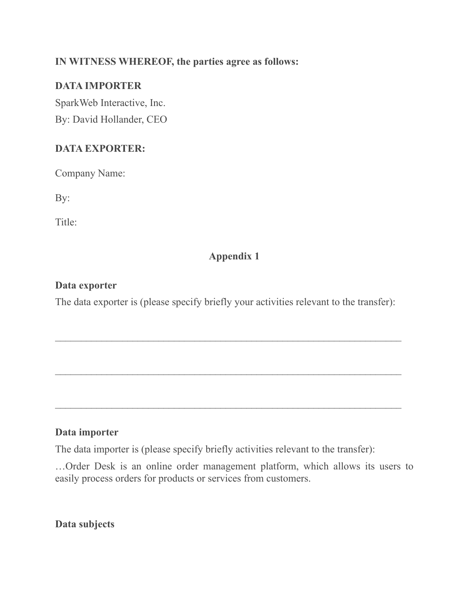### **IN WITNESS WHEREOF, the parties agree as follows:**

### **DATA IMPORTER**

SparkWeb Interactive, Inc. By: David Hollander, CEO

## **DATA EXPORTER:**

Company Name:

By:

Title:

# **Appendix 1**

#### **Data exporter**

The data exporter is (please specify briefly your activities relevant to the transfer):

 $\mathcal{L}_\mathcal{L} = \mathcal{L}_\mathcal{L} = \mathcal{L}_\mathcal{L} = \mathcal{L}_\mathcal{L} = \mathcal{L}_\mathcal{L} = \mathcal{L}_\mathcal{L} = \mathcal{L}_\mathcal{L} = \mathcal{L}_\mathcal{L} = \mathcal{L}_\mathcal{L} = \mathcal{L}_\mathcal{L} = \mathcal{L}_\mathcal{L} = \mathcal{L}_\mathcal{L} = \mathcal{L}_\mathcal{L} = \mathcal{L}_\mathcal{L} = \mathcal{L}_\mathcal{L} = \mathcal{L}_\mathcal{L} = \mathcal{L}_\mathcal{L}$ 

 $\mathcal{L}_\text{max} = \frac{1}{2} \sum_{i=1}^n \mathcal{L}_\text{max}(\mathbf{z}_i - \mathbf{z}_i)$ 

#### **Data importer**

The data importer is (please specify briefly activities relevant to the transfer):

…Order Desk is an online order management platform, which allows its users to easily process orders for products or services from customers.

**Data subjects**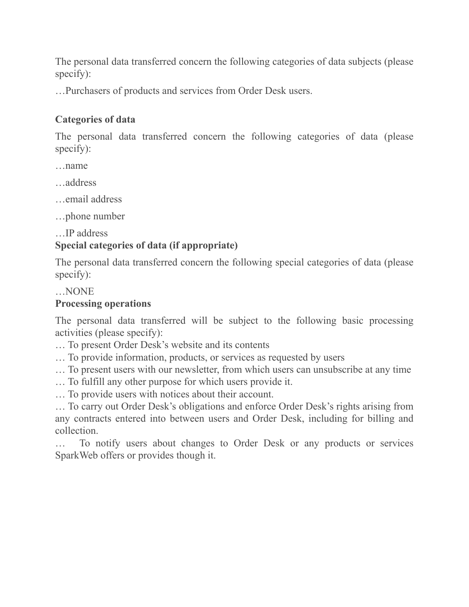The personal data transferred concern the following categories of data subjects (please specify):

…Purchasers of products and services from Order Desk users.

# **Categories of data**

The personal data transferred concern the following categories of data (please specify):

- …name
- …address
- …email address
- …phone number
- …IP address

# **Special categories of data (if appropriate)**

The personal data transferred concern the following special categories of data (please specify):

### …NONE

## **Processing operations**

The personal data transferred will be subject to the following basic processing activities (please specify):

- … To present Order Desk's website and its contents
- … To provide information, products, or services as requested by users
- … To present users with our newsletter, from which users can unsubscribe at any time
- … To fulfill any other purpose for which users provide it.
- … To provide users with notices about their account.

… To carry out Order Desk's obligations and enforce Order Desk's rights arising from any contracts entered into between users and Order Desk, including for billing and collection.

… To notify users about changes to Order Desk or any products or services SparkWeb offers or provides though it.